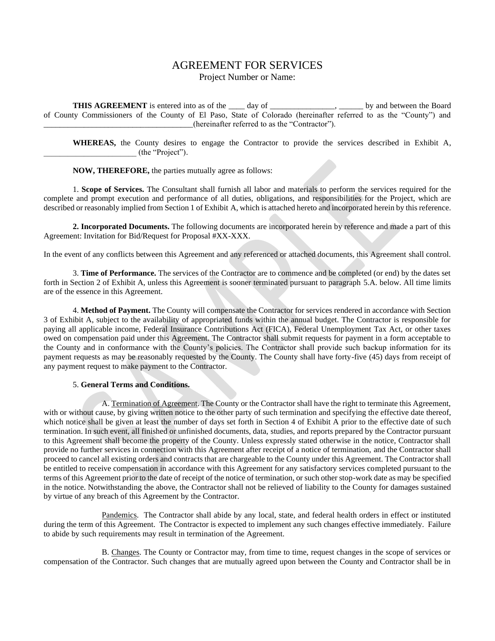# AGREEMENT FOR SERVICES

### Project Number or Name:

**THIS AGREEMENT** is entered into as of the \_\_\_\_ day of \_\_\_\_\_\_\_\_\_\_\_\_\_, \_\_\_\_\_\_ by and between the Board of County Commissioners of the County of El Paso, State of Colorado (hereinafter referred to as the "County") and \_\_\_\_\_\_\_\_\_\_\_\_\_\_\_\_\_\_\_\_\_\_\_\_\_\_\_\_\_\_\_\_\_\_\_\_\_(hereinafter referred to as the "Contractor").

**WHEREAS,** the County desires to engage the Contractor to provide the services described in Exhibit A, \_\_\_\_\_\_\_\_\_\_\_\_\_\_\_\_\_\_\_\_\_\_\_ (the "Project").

**NOW, THEREFORE,** the parties mutually agree as follows:

1. **Scope of Services.** The Consultant shall furnish all labor and materials to perform the services required for the complete and prompt execution and performance of all duties, obligations, and responsibilities for the Project, which are described or reasonably implied from Section 1 of Exhibit A, which is attached hereto and incorporated herein by this reference.

**2. Incorporated Documents.** The following documents are incorporated herein by reference and made a part of this Agreement: Invitation for Bid/Request for Proposal #XX-XXX.

In the event of any conflicts between this Agreement and any referenced or attached documents, this Agreement shall control.

3. **Time of Performance.** The services of the Contractor are to commence and be completed (or end) by the dates set forth in Section 2 of Exhibit A, unless this Agreement is sooner terminated pursuant to paragraph 5.A. below. All time limits are of the essence in this Agreement.

4. **Method of Payment.** The County will compensate the Contractor for services rendered in accordance with Section 3 of Exhibit A, subject to the availability of appropriated funds within the annual budget. The Contractor is responsible for paying all applicable income, Federal Insurance Contributions Act (FICA), Federal Unemployment Tax Act, or other taxes owed on compensation paid under this Agreement. The Contractor shall submit requests for payment in a form acceptable to the County and in conformance with the County's policies. The Contractor shall provide such backup information for its payment requests as may be reasonably requested by the County. The County shall have forty-five (45) days from receipt of any payment request to make payment to the Contractor.

#### 5. **General Terms and Conditions.**

A. Termination of Agreement. The County or the Contractor shall have the right to terminate this Agreement, with or without cause, by giving written notice to the other party of such termination and specifying the effective date thereof, which notice shall be given at least the number of days set forth in Section 4 of Exhibit A prior to the effective date of such termination. In such event, all finished or unfinished documents, data, studies, and reports prepared by the Contractor pursuant to this Agreement shall become the property of the County. Unless expressly stated otherwise in the notice, Contractor shall provide no further services in connection with this Agreement after receipt of a notice of termination, and the Contractor shall proceed to cancel all existing orders and contracts that are chargeable to the County under this Agreement. The Contractor shall be entitled to receive compensation in accordance with this Agreement for any satisfactory services completed pursuant to the terms of this Agreement prior to the date of receipt of the notice of termination, or such other stop-work date as may be specified in the notice. Notwithstanding the above, the Contractor shall not be relieved of liability to the County for damages sustained by virtue of any breach of this Agreement by the Contractor.

Pandemics. The Contractor shall abide by any local, state, and federal health orders in effect or instituted during the term of this Agreement. The Contractor is expected to implement any such changes effective immediately. Failure to abide by such requirements may result in termination of the Agreement.

B. Changes. The County or Contractor may, from time to time, request changes in the scope of services or compensation of the Contractor. Such changes that are mutually agreed upon between the County and Contractor shall be in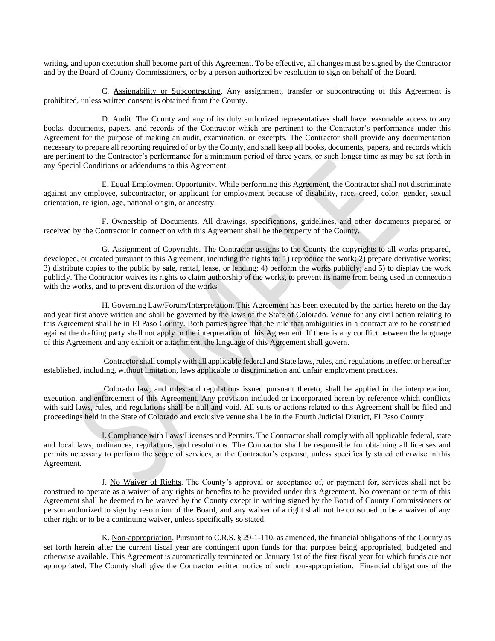writing, and upon execution shall become part of this Agreement. To be effective, all changes must be signed by the Contractor and by the Board of County Commissioners, or by a person authorized by resolution to sign on behalf of the Board.

C. Assignability or Subcontracting. Any assignment, transfer or subcontracting of this Agreement is prohibited, unless written consent is obtained from the County.

D. Audit. The County and any of its duly authorized representatives shall have reasonable access to any books, documents, papers, and records of the Contractor which are pertinent to the Contractor's performance under this Agreement for the purpose of making an audit, examination, or excerpts. The Contractor shall provide any documentation necessary to prepare all reporting required of or by the County, and shall keep all books, documents, papers, and records which are pertinent to the Contractor's performance for a minimum period of three years, or such longer time as may be set forth in any Special Conditions or addendums to this Agreement.

E. Equal Employment Opportunity. While performing this Agreement, the Contractor shall not discriminate against any employee, subcontractor, or applicant for employment because of disability, race, creed, color, gender, sexual orientation, religion, age, national origin, or ancestry.

F. Ownership of Documents. All drawings, specifications, guidelines, and other documents prepared or received by the Contractor in connection with this Agreement shall be the property of the County.

G. Assignment of Copyrights. The Contractor assigns to the County the copyrights to all works prepared, developed, or created pursuant to this Agreement, including the rights to: 1) reproduce the work; 2) prepare derivative works; 3) distribute copies to the public by sale, rental, lease, or lending; 4) perform the works publicly; and 5) to display the work publicly. The Contractor waives its rights to claim authorship of the works, to prevent its name from being used in connection with the works, and to prevent distortion of the works.

H. Governing Law/Forum/Interpretation. This Agreement has been executed by the parties hereto on the day and year first above written and shall be governed by the laws of the State of Colorado. Venue for any civil action relating to this Agreement shall be in El Paso County. Both parties agree that the rule that ambiguities in a contract are to be construed against the drafting party shall not apply to the interpretation of this Agreement. If there is any conflict between the language of this Agreement and any exhibit or attachment, the language of this Agreement shall govern.

Contractor shall comply with all applicable federal and State laws, rules, and regulations in effect or hereafter established, including, without limitation, laws applicable to discrimination and unfair employment practices.

Colorado law, and rules and regulations issued pursuant thereto, shall be applied in the interpretation, execution, and enforcement of this Agreement. Any provision included or incorporated herein by reference which conflicts with said laws, rules, and regulations shall be null and void. All suits or actions related to this Agreement shall be filed and proceedings held in the State of Colorado and exclusive venue shall be in the Fourth Judicial District, El Paso County.

I. Compliance with Laws/Licenses and Permits. The Contractor shall comply with all applicable federal, state and local laws, ordinances, regulations, and resolutions. The Contractor shall be responsible for obtaining all licenses and permits necessary to perform the scope of services, at the Contractor's expense, unless specifically stated otherwise in this Agreement.

J. No Waiver of Rights. The County's approval or acceptance of, or payment for, services shall not be construed to operate as a waiver of any rights or benefits to be provided under this Agreement. No covenant or term of this Agreement shall be deemed to be waived by the County except in writing signed by the Board of County Commissioners or person authorized to sign by resolution of the Board, and any waiver of a right shall not be construed to be a waiver of any other right or to be a continuing waiver, unless specifically so stated.

K. Non-appropriation. Pursuant to C.R.S. § 29-1-110, as amended, the financial obligations of the County as set forth herein after the current fiscal year are contingent upon funds for that purpose being appropriated, budgeted and otherwise available. This Agreement is automatically terminated on January 1st of the first fiscal year for which funds are not appropriated. The County shall give the Contractor written notice of such non-appropriation. Financial obligations of the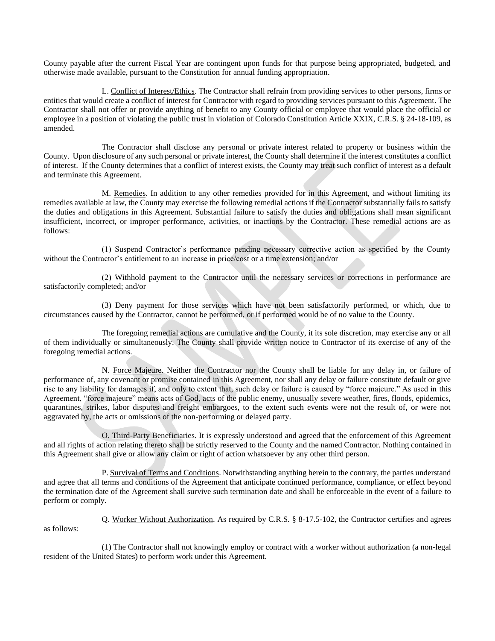County payable after the current Fiscal Year are contingent upon funds for that purpose being appropriated, budgeted, and otherwise made available, pursuant to the Constitution for annual funding appropriation.

L. Conflict of Interest/Ethics. The Contractor shall refrain from providing services to other persons, firms or entities that would create a conflict of interest for Contractor with regard to providing services pursuant to this Agreement. The Contractor shall not offer or provide anything of benefit to any County official or employee that would place the official or employee in a position of violating the public trust in violation of Colorado Constitution Article XXIX, C.R.S. § 24-18-109, as amended.

The Contractor shall disclose any personal or private interest related to property or business within the County. Upon disclosure of any such personal or private interest, the County shall determine if the interest constitutes a conflict of interest. If the County determines that a conflict of interest exists, the County may treat such conflict of interest as a default and terminate this Agreement.

M. Remedies. In addition to any other remedies provided for in this Agreement, and without limiting its remedies available at law, the County may exercise the following remedial actions if the Contractor substantially fails to satisfy the duties and obligations in this Agreement. Substantial failure to satisfy the duties and obligations shall mean significant insufficient, incorrect, or improper performance, activities, or inactions by the Contractor. These remedial actions are as follows:

(1) Suspend Contractor's performance pending necessary corrective action as specified by the County without the Contractor's entitlement to an increase in price/cost or a time extension; and/or

(2) Withhold payment to the Contractor until the necessary services or corrections in performance are satisfactorily completed; and/or

(3) Deny payment for those services which have not been satisfactorily performed, or which, due to circumstances caused by the Contractor, cannot be performed, or if performed would be of no value to the County.

The foregoing remedial actions are cumulative and the County, it its sole discretion, may exercise any or all of them individually or simultaneously. The County shall provide written notice to Contractor of its exercise of any of the foregoing remedial actions.

N. Force Majeure. Neither the Contractor nor the County shall be liable for any delay in, or failure of performance of, any covenant or promise contained in this Agreement, nor shall any delay or failure constitute default or give rise to any liability for damages if, and only to extent that, such delay or failure is caused by "force majeure." As used in this Agreement, "force majeure" means acts of God, acts of the public enemy, unusually severe weather, fires, floods, epidemics, quarantines, strikes, labor disputes and freight embargoes, to the extent such events were not the result of, or were not aggravated by, the acts or omissions of the non-performing or delayed party.

O. Third-Party Beneficiaries. It is expressly understood and agreed that the enforcement of this Agreement and all rights of action relating thereto shall be strictly reserved to the County and the named Contractor. Nothing contained in this Agreement shall give or allow any claim or right of action whatsoever by any other third person.

P. Survival of Terms and Conditions. Notwithstanding anything herein to the contrary, the parties understand and agree that all terms and conditions of the Agreement that anticipate continued performance, compliance, or effect beyond the termination date of the Agreement shall survive such termination date and shall be enforceable in the event of a failure to perform or comply.

Q. Worker Without Authorization. As required by C.R.S. § 8-17.5-102, the Contractor certifies and agrees as follows:

(1) The Contractor shall not knowingly employ or contract with a worker without authorization (a non-legal resident of the United States) to perform work under this Agreement.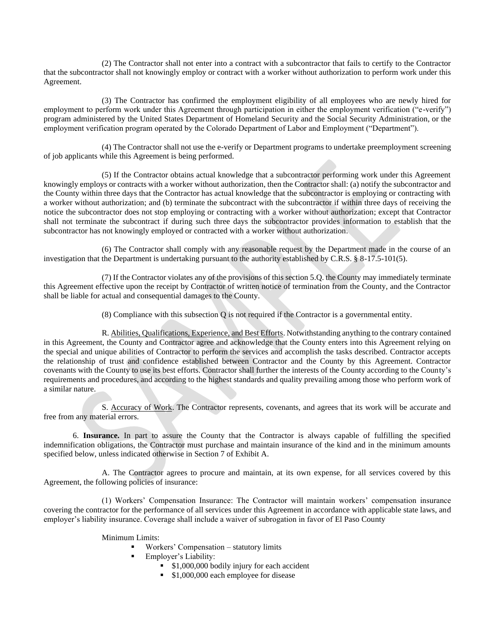(2) The Contractor shall not enter into a contract with a subcontractor that fails to certify to the Contractor that the subcontractor shall not knowingly employ or contract with a worker without authorization to perform work under this Agreement.

(3) The Contractor has confirmed the employment eligibility of all employees who are newly hired for employment to perform work under this Agreement through participation in either the employment verification ("e-verify") program administered by the United States Department of Homeland Security and the Social Security Administration, or the employment verification program operated by the Colorado Department of Labor and Employment ("Department").

(4) The Contractor shall not use the e-verify or Department programs to undertake preemployment screening of job applicants while this Agreement is being performed.

(5) If the Contractor obtains actual knowledge that a subcontractor performing work under this Agreement knowingly employs or contracts with a worker without authorization, then the Contractor shall: (a) notify the subcontractor and the County within three days that the Contractor has actual knowledge that the subcontractor is employing or contracting with a worker without authorization; and (b) terminate the subcontract with the subcontractor if within three days of receiving the notice the subcontractor does not stop employing or contracting with a worker without authorization; except that Contractor shall not terminate the subcontract if during such three days the subcontractor provides information to establish that the subcontractor has not knowingly employed or contracted with a worker without authorization.

(6) The Contractor shall comply with any reasonable request by the Department made in the course of an investigation that the Department is undertaking pursuant to the authority established by C.R.S. § 8-17.5-101(5).

(7) If the Contractor violates any of the provisions of this section 5.Q. the County may immediately terminate this Agreement effective upon the receipt by Contractor of written notice of termination from the County, and the Contractor shall be liable for actual and consequential damages to the County.

(8) Compliance with this subsection Q is not required if the Contractor is a governmental entity.

R. Abilities, Qualifications, Experience, and Best Efforts. Notwithstanding anything to the contrary contained in this Agreement, the County and Contractor agree and acknowledge that the County enters into this Agreement relying on the special and unique abilities of Contractor to perform the services and accomplish the tasks described. Contractor accepts the relationship of trust and confidence established between Contractor and the County by this Agreement. Contractor covenants with the County to use its best efforts. Contractor shall further the interests of the County according to the County's requirements and procedures, and according to the highest standards and quality prevailing among those who perform work of a similar nature.

S. Accuracy of Work. The Contractor represents, covenants, and agrees that its work will be accurate and free from any material errors.

6. **Insurance.** In part to assure the County that the Contractor is always capable of fulfilling the specified indemnification obligations, the Contractor must purchase and maintain insurance of the kind and in the minimum amounts specified below, unless indicated otherwise in Section 7 of Exhibit A.

A. The Contractor agrees to procure and maintain, at its own expense, for all services covered by this Agreement, the following policies of insurance:

(1) Workers' Compensation Insurance: The Contractor will maintain workers' compensation insurance covering the contractor for the performance of all services under this Agreement in accordance with applicable state laws, and employer's liability insurance. Coverage shall include a waiver of subrogation in favor of El Paso County

Minimum Limits:

Workers' Compensation – statutory limits

- Employer's Liability:
	- \$1,000,000 bodily injury for each accident
	- \$1,000,000 each employee for disease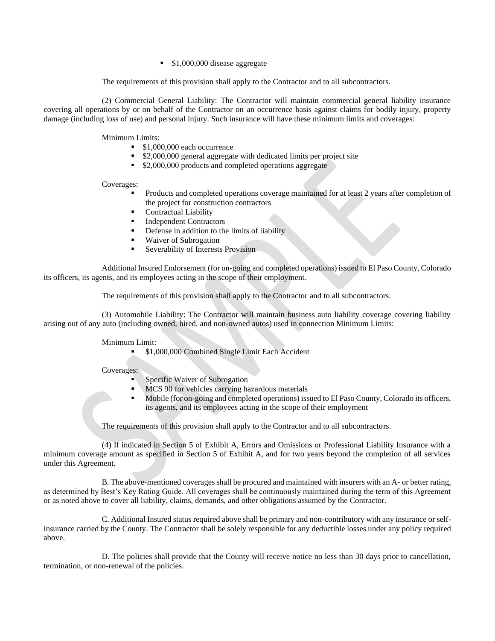■ \$1,000,000 disease aggregate

The requirements of this provision shall apply to the Contractor and to all subcontractors.

(2) Commercial General Liability: The Contractor will maintain commercial general liability insurance covering all operations by or on behalf of the Contractor on an occurrence basis against claims for bodily injury, property damage (including loss of use) and personal injury. Such insurance will have these minimum limits and coverages:

Minimum Limits:

- \$1,000,000 each occurrence
- \$2,000,000 general aggregate with dedicated limits per project site
- \$2,000,000 products and completed operations aggregate

Coverages:

- Products and completed operations coverage maintained for at least 2 years after completion of the project for construction contractors
- Contractual Liability
- **Independent Contractors**
- Defense in addition to the limits of liability
- Waiver of Subrogation
- Severability of Interests Provision

Additional Insured Endorsement (for on-going and completed operations) issued to El Paso County, Colorado its officers, its agents, and its employees acting in the scope of their employment.

The requirements of this provision shall apply to the Contractor and to all subcontractors.

(3) Automobile Liability: The Contractor will maintain business auto liability coverage covering liability arising out of any auto (including owned, hired, and non-owned autos) used in connection Minimum Limits:

Minimum Limit:

**• \$1,000,000 Combined Single Limit Each Accident** 

Coverages:

- Specific Waiver of Subrogation
- MCS 90 for vehicles carrying hazardous materials
- Mobile (for on-going and completed operations) issued to El Paso County, Colorado its officers, its agents, and its employees acting in the scope of their employment

The requirements of this provision shall apply to the Contractor and to all subcontractors.

(4) If indicated in Section 5 of Exhibit A, Errors and Omissions or Professional Liability Insurance with a minimum coverage amount as specified in Section 5 of Exhibit A, and for two years beyond the completion of all services under this Agreement.

B. The above-mentioned coverages shall be procured and maintained with insurers with an A- or better rating, as determined by Best's Key Rating Guide. All coverages shall be continuously maintained during the term of this Agreement or as noted above to cover all liability, claims, demands, and other obligations assumed by the Contractor.

C. Additional Insured status required above shall be primary and non-contributory with any insurance or selfinsurance carried by the County. The Contractor shall be solely responsible for any deductible losses under any policy required above.

D. The policies shall provide that the County will receive notice no less than 30 days prior to cancellation, termination, or non-renewal of the policies.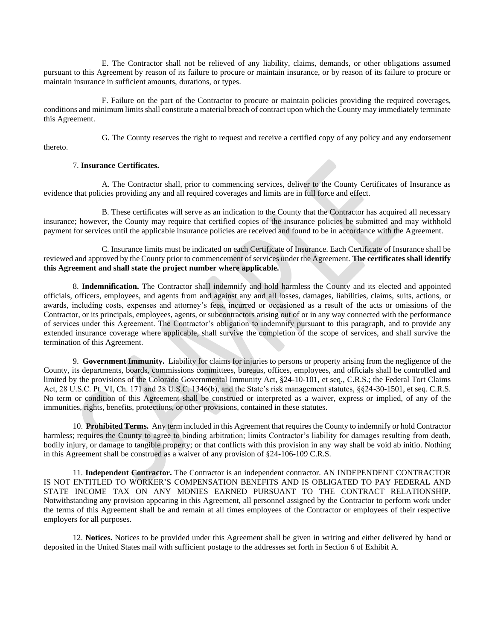E. The Contractor shall not be relieved of any liability, claims, demands, or other obligations assumed pursuant to this Agreement by reason of its failure to procure or maintain insurance, or by reason of its failure to procure or maintain insurance in sufficient amounts, durations, or types.

F. Failure on the part of the Contractor to procure or maintain policies providing the required coverages, conditions and minimum limits shall constitute a material breach of contract upon which the County may immediately terminate this Agreement.

thereto.

G. The County reserves the right to request and receive a certified copy of any policy and any endorsement

### 7. **Insurance Certificates.**

A. The Contractor shall, prior to commencing services, deliver to the County Certificates of Insurance as evidence that policies providing any and all required coverages and limits are in full force and effect.

B. These certificates will serve as an indication to the County that the Contractor has acquired all necessary insurance; however, the County may require that certified copies of the insurance policies be submitted and may withhold payment for services until the applicable insurance policies are received and found to be in accordance with the Agreement.

C. Insurance limits must be indicated on each Certificate of Insurance. Each Certificate of Insurance shall be reviewed and approved by the County prior to commencement of services under the Agreement. **The certificates shall identify this Agreement and shall state the project number where applicable.**

8. **Indemnification.** The Contractor shall indemnify and hold harmless the County and its elected and appointed officials, officers, employees, and agents from and against any and all losses, damages, liabilities, claims, suits, actions, or awards, including costs, expenses and attorney's fees, incurred or occasioned as a result of the acts or omissions of the Contractor, or its principals, employees, agents, or subcontractors arising out of or in any way connected with the performance of services under this Agreement. The Contractor's obligation to indemnify pursuant to this paragraph, and to provide any extended insurance coverage where applicable, shall survive the completion of the scope of services, and shall survive the termination of this Agreement.

9. **Government Immunity.** Liability for claims for injuries to persons or property arising from the negligence of the County, its departments, boards, commissions committees, bureaus, offices, employees, and officials shall be controlled and limited by the provisions of the Colorado Governmental Immunity Act, §24-10-101, et seq., C.R.S.; the Federal Tort Claims Act, 28 U.S.C. Pt. VI, Ch. 171 and 28 U.S.C. 1346(b), and the State's risk management statutes, §§24-30-1501, et seq. C.R.S. No term or condition of this Agreement shall be construed or interpreted as a waiver, express or implied, of any of the immunities, rights, benefits, protections, or other provisions, contained in these statutes.

10. **Prohibited Terms.** Any term included in this Agreement that requires the County to indemnify or hold Contractor harmless; requires the County to agree to binding arbitration; limits Contractor's liability for damages resulting from death, bodily injury, or damage to tangible property; or that conflicts with this provision in any way shall be void ab initio. Nothing in this Agreement shall be construed as a waiver of any provision of §24-106-109 C.R.S.

11. **Independent Contractor.** The Contractor is an independent contractor. AN INDEPENDENT CONTRACTOR IS NOT ENTITLED TO WORKER'S COMPENSATION BENEFITS AND IS OBLIGATED TO PAY FEDERAL AND STATE INCOME TAX ON ANY MONIES EARNED PURSUANT TO THE CONTRACT RELATIONSHIP. Notwithstanding any provision appearing in this Agreement, all personnel assigned by the Contractor to perform work under the terms of this Agreement shall be and remain at all times employees of the Contractor or employees of their respective employers for all purposes.

12. **Notices.** Notices to be provided under this Agreement shall be given in writing and either delivered by hand or deposited in the United States mail with sufficient postage to the addresses set forth in Section 6 of Exhibit A.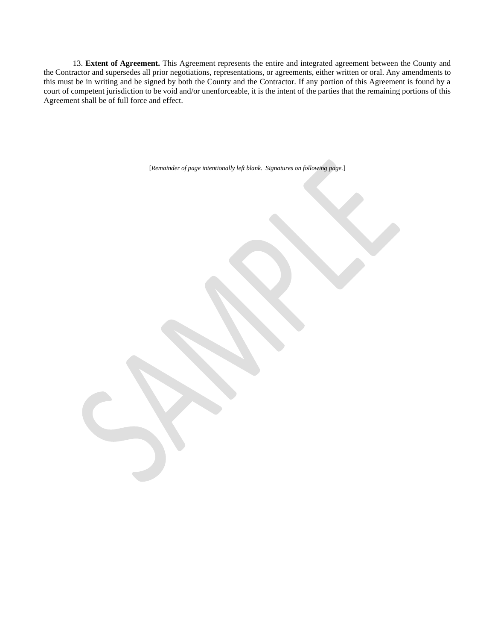13. **Extent of Agreement.** This Agreement represents the entire and integrated agreement between the County and the Contractor and supersedes all prior negotiations, representations, or agreements, either written or oral. Any amendments to this must be in writing and be signed by both the County and the Contractor. If any portion of this Agreement is found by a court of competent jurisdiction to be void and/or unenforceable, it is the intent of the parties that the remaining portions of this Agreement shall be of full force and effect.

[*Remainder of page intentionally left blank. Signatures on following page.*]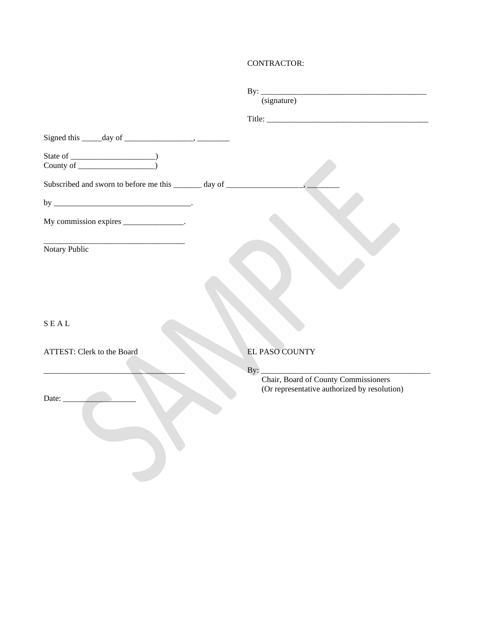# CONTRACTOR:

|                                                                                   | (signature)                                                                          |
|-----------------------------------------------------------------------------------|--------------------------------------------------------------------------------------|
|                                                                                   |                                                                                      |
| Signed this $\_\_\_\_$ day of $\_\_\_\_\_\_\_\_\_\_\_\_\_\_\_\_\_\_\_$            |                                                                                      |
|                                                                                   |                                                                                      |
| Subscribed and sworn to before me this ______ day of ____________________________ |                                                                                      |
|                                                                                   |                                                                                      |
| My commission expires _______________.                                            |                                                                                      |
| Notary Public                                                                     |                                                                                      |
|                                                                                   |                                                                                      |
|                                                                                   |                                                                                      |
|                                                                                   |                                                                                      |
| S E A L                                                                           |                                                                                      |
| ATTEST: Clerk to the Board                                                        | EL PASO COUNTY                                                                       |
|                                                                                   |                                                                                      |
|                                                                                   | Chair, Board of County Commissioners<br>(Or representative authorized by resolution) |
| Date:                                                                             |                                                                                      |
|                                                                                   |                                                                                      |
|                                                                                   |                                                                                      |
|                                                                                   |                                                                                      |
|                                                                                   |                                                                                      |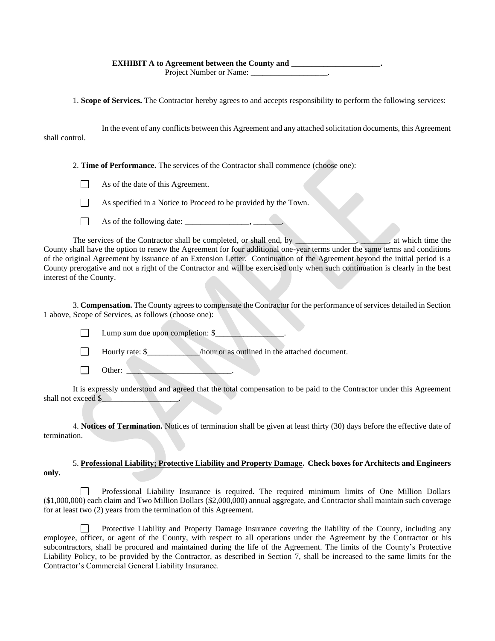### **EXHIBIT A to Agreement between the County and \_\_\_\_\_\_\_\_\_\_\_\_\_\_\_\_\_\_\_\_\_\_.**

Project Number or Name: \_\_\_\_\_\_\_\_\_\_\_\_\_\_\_\_\_\_\_.

1. **Scope of Services.** The Contractor hereby agrees to and accepts responsibility to perform the following services:

In the event of any conflicts between this Agreement and any attached solicitation documents, this Agreement shall control.

2. **Time of Performance.** The services of the Contractor shall commence (choose one):

- $\Box$ As of the date of this Agreement.
- As specified in a Notice to Proceed to be provided by the Town.  $\Box$
- As of the following date:  $\frac{1}{\sqrt{2\pi}}$  $\Box$

The services of the Contractor shall be completed, or shall end, by \_\_\_\_\_\_\_\_\_\_\_, \_\_\_\_\_, at which time the County shall have the option to renew the Agreement for four additional one-year terms under the same terms and conditions of the original Agreement by issuance of an Extension Letter. Continuation of the Agreement beyond the initial period is a County prerogative and not a right of the Contractor and will be exercised only when such continuation is clearly in the best interest of the County.

3. **Compensation.** The County agrees to compensate the Contractor for the performance of services detailed in Section 1 above, Scope of Services, as follows (choose one):

Lump sum due upon completion: \$

 $\Box$ Hourly rate: \$\_\_\_\_\_\_\_\_\_\_\_\_\_\_\_\_\_/hour or as outlined in the attached document.

Other:  $\Box$ 

It is expressly understood and agreed that the total compensation to be paid to the Contractor under this Agreement shall not exceed \$

4. **Notices of Termination.** Notices of termination shall be given at least thirty (30) days before the effective date of termination.

# 5. **Professional Liability; Protective Liability and Property Damage. Check boxes for Architects and Engineers only.**

Professional Liability Insurance is required. The required minimum limits of One Million Dollars (\$1,000,000) each claim and Two Million Dollars (\$2,000,000) annual aggregate, and Contractor shall maintain such coverage for at least two (2) years from the termination of this Agreement.

 $\Box$ Protective Liability and Property Damage Insurance covering the liability of the County, including any employee, officer, or agent of the County, with respect to all operations under the Agreement by the Contractor or his subcontractors, shall be procured and maintained during the life of the Agreement. The limits of the County's Protective Liability Policy, to be provided by the Contractor, as described in Section 7, shall be increased to the same limits for the Contractor's Commercial General Liability Insurance.